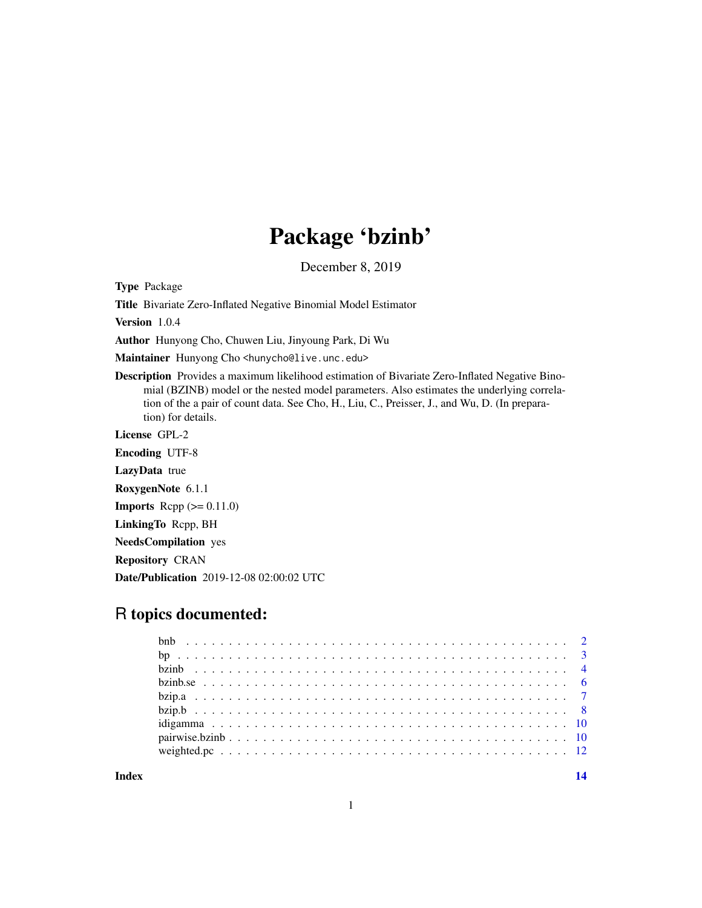## Package 'bzinb'

December 8, 2019

Type Package

Title Bivariate Zero-Inflated Negative Binomial Model Estimator

Version 1.0.4

Author Hunyong Cho, Chuwen Liu, Jinyoung Park, Di Wu

Maintainer Hunyong Cho <hunycho@live.unc.edu>

Description Provides a maximum likelihood estimation of Bivariate Zero-Inflated Negative Binomial (BZINB) model or the nested model parameters. Also estimates the underlying correlation of the a pair of count data. See Cho, H., Liu, C., Preisser, J., and Wu, D. (In preparation) for details.

License GPL-2

Encoding UTF-8 LazyData true RoxygenNote 6.1.1 **Imports** Rcpp  $(>= 0.11.0)$ LinkingTo Rcpp, BH NeedsCompilation yes Repository CRAN Date/Publication 2019-12-08 02:00:02 UTC

### R topics documented:

**Index** 2008 **[14](#page-13-0)**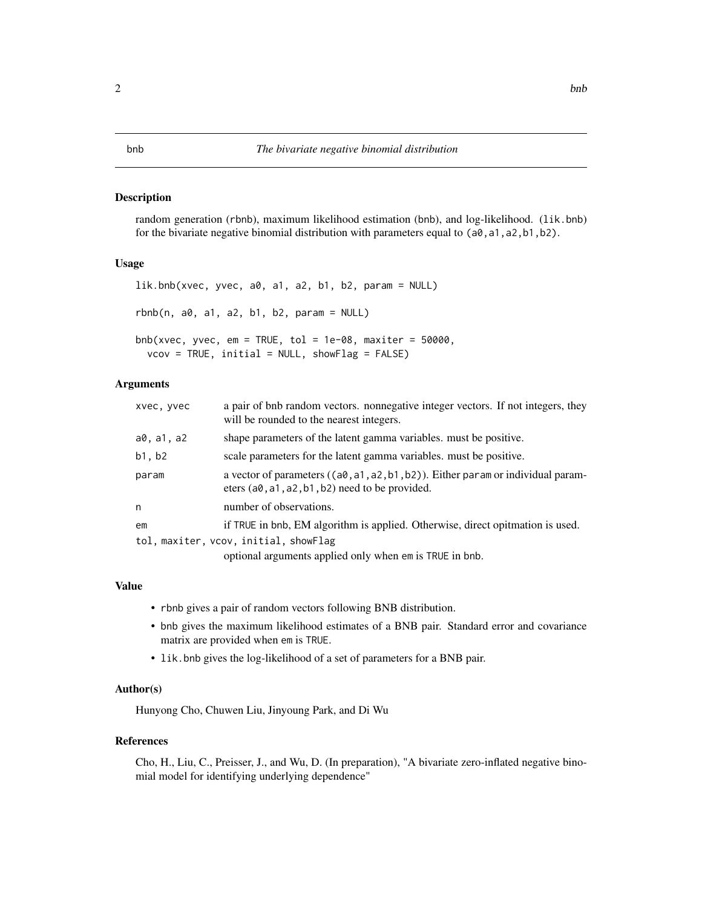#### <span id="page-1-0"></span>Description

random generation (rbnb), maximum likelihood estimation (bnb), and log-likelihood. (lik.bnb) for the bivariate negative binomial distribution with parameters equal to  $(a0, a1, a2, b1, b2)$ .

#### Usage

```
lik.bnb(xvec, yvec, a0, a1, a2, b1, b2, param = NULL)
rbnb(n, a0, a1, a2, b1, b2, param = NULL)
```
 $bnb(xvec, yvec, em = TRUE, tol = 1e-08, maxiter = 50000,$  $vcov = TRUE$ , initial = NULL, showFlag = FALSE)

### Arguments

| xvec, yvec | a pair of bnb random vectors, nonnegative integer vectors. If not integers, they<br>will be rounded to the nearest integers.             |
|------------|------------------------------------------------------------------------------------------------------------------------------------------|
| a0, a1, a2 | shape parameters of the latent gamma variables, must be positive.                                                                        |
| b1, b2     | scale parameters for the latent gamma variables. must be positive.                                                                       |
| param      | a vector of parameters $((a0, a1, a2, b1, b2))$ . Either param or individual param-<br>eters $(a0, a1, a2, b1, b2)$ need to be provided. |
| n          | number of observations.                                                                                                                  |
| em         | if TRUE in bnb, EM algorithm is applied. Otherwise, direct opitmation is used.                                                           |
|            | tol, maxiter, vcov, initial, showFlag                                                                                                    |
|            | optional arguments applied only when em is TRUE in bnb.                                                                                  |

#### Value

- rbnb gives a pair of random vectors following BNB distribution.
- bnb gives the maximum likelihood estimates of a BNB pair. Standard error and covariance matrix are provided when em is TRUE.
- lik.bnb gives the log-likelihood of a set of parameters for a BNB pair.

#### Author(s)

Hunyong Cho, Chuwen Liu, Jinyoung Park, and Di Wu

#### References

Cho, H., Liu, C., Preisser, J., and Wu, D. (In preparation), "A bivariate zero-inflated negative binomial model for identifying underlying dependence"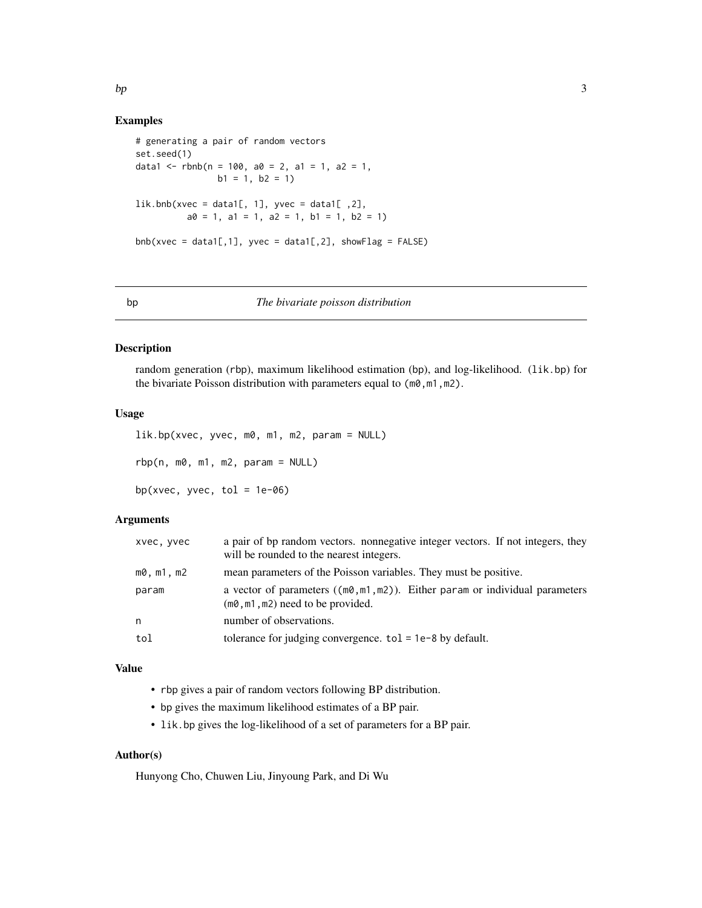#### Examples

```
# generating a pair of random vectors
set.seed(1)
data1 <- rbnb(n = 100, a0 = 2, a1 = 1, a2 = 1,b1 = 1, b2 = 1)lik.bnb(xvec = data1[, 1], yvec = data1[, 2],
         a0 = 1, a1 = 1, a2 = 1, b1 = 1, b2 = 1)
bnb(xvec = data1[,1], yvec = data1[,2], showFlag = FALSE)
```
bp *The bivariate poisson distribution*

#### Description

random generation (rbp), maximum likelihood estimation (bp), and log-likelihood. (lik.bp) for the bivariate Poisson distribution with parameters equal to  $(m0, m1, m2)$ .

#### Usage

```
lik.bp(xvec, yvec, m0, m1, m2, param = NULL)
rbp(n, m0, m1, m2, param = NULL)bp(xvec, yvec, tol = 1e-06)
```
#### Arguments

| xvec, yvec    | a pair of bp random vectors. nonnegative integer vectors. If not integers, they<br>will be rounded to the nearest integers.  |
|---------------|------------------------------------------------------------------------------------------------------------------------------|
| $m0$ , m1, m2 | mean parameters of the Poisson variables. They must be positive.                                                             |
| param         | a vector of parameters ( $(m\theta, m1, m2)$ ). Either param or individual parameters<br>$(m0, m1, m2)$ need to be provided. |
| n             | number of observations.                                                                                                      |
| tol           | tolerance for judging convergence. $tol = 1e-8$ by default.                                                                  |

#### Value

- rbp gives a pair of random vectors following BP distribution.
- bp gives the maximum likelihood estimates of a BP pair.
- lik.bp gives the log-likelihood of a set of parameters for a BP pair.

#### Author(s)

Hunyong Cho, Chuwen Liu, Jinyoung Park, and Di Wu

<span id="page-2-0"></span> $bp$  3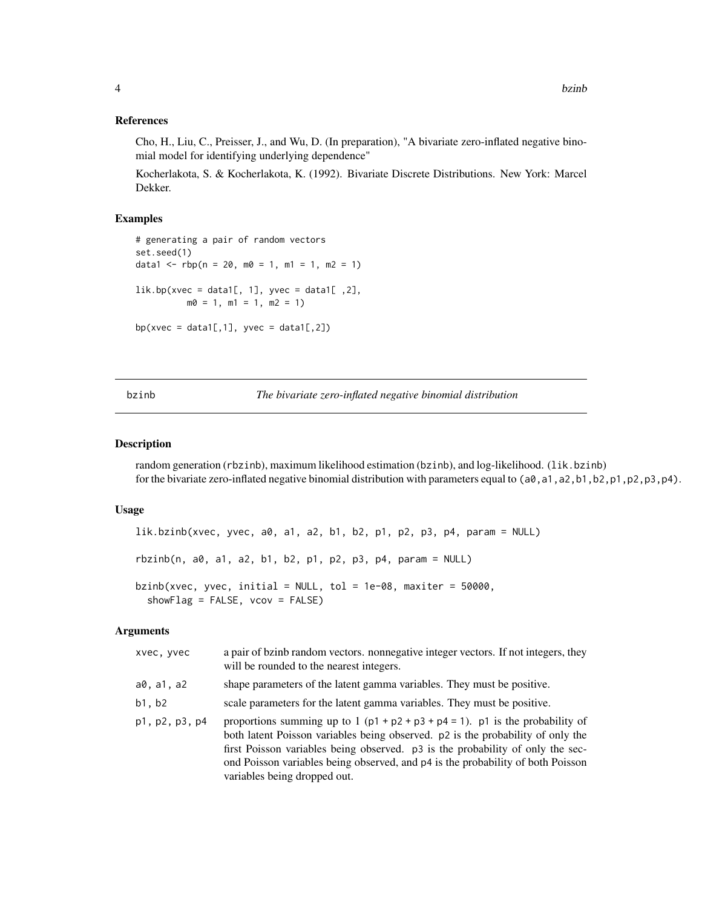#### <span id="page-3-0"></span>References

Cho, H., Liu, C., Preisser, J., and Wu, D. (In preparation), "A bivariate zero-inflated negative binomial model for identifying underlying dependence"

Kocherlakota, S. & Kocherlakota, K. (1992). Bivariate Discrete Distributions. New York: Marcel Dekker.

#### Examples

```
# generating a pair of random vectors
set.seed(1)
data1 <- rbp(n = 20, m0 = 1, m1 = 1, m2 = 1)lik.bp(xvec = data1[, 1], yvec = data1[, 2],
         m0 = 1, m1 = 1, m2 = 1)
bp(xvec = data1[,1], yvec = data1[,2])
```
<span id="page-3-1"></span>

bzinb *The bivariate zero-inflated negative binomial distribution*

#### Description

random generation (rbzinb), maximum likelihood estimation (bzinb), and log-likelihood. (lik.bzinb) for the bivariate zero-inflated negative binomial distribution with parameters equal to (a0, a1, a2, b1, b2, p1, p2, p3, p4).

#### Usage

```
lik.bzinb(xvec, yvec, a0, a1, a2, b1, b2, p1, p2, p3, p4, param = NULL)
rbzinb(n, a0, a1, a2, b1, b2, p1, p2, p3, p4, param = NULL)
bzinb(xvec, yvec, initial = NULL, tol = 1e-08, maxiter = 50000,
  showFlag = FALSE, vcov = FALSE)
```
#### Arguments

| xvec, yvec     | a pair of bzinb random vectors. nonnegative integer vectors. If not integers, they<br>will be rounded to the nearest integers.                                                                                                                                                                                                                                           |
|----------------|--------------------------------------------------------------------------------------------------------------------------------------------------------------------------------------------------------------------------------------------------------------------------------------------------------------------------------------------------------------------------|
| a0, a1, a2     | shape parameters of the latent gamma variables. They must be positive.                                                                                                                                                                                                                                                                                                   |
| b1, b2         | scale parameters for the latent gamma variables. They must be positive.                                                                                                                                                                                                                                                                                                  |
| p1, p2, p3, p4 | proportions summing up to 1 $(p1 + p2 + p3 + p4 = 1)$ . p1 is the probability of<br>both latent Poisson variables being observed. p2 is the probability of only the<br>first Poisson variables being observed. p3 is the probability of only the sec-<br>ond Poisson variables being observed, and p4 is the probability of both Poisson<br>variables being dropped out. |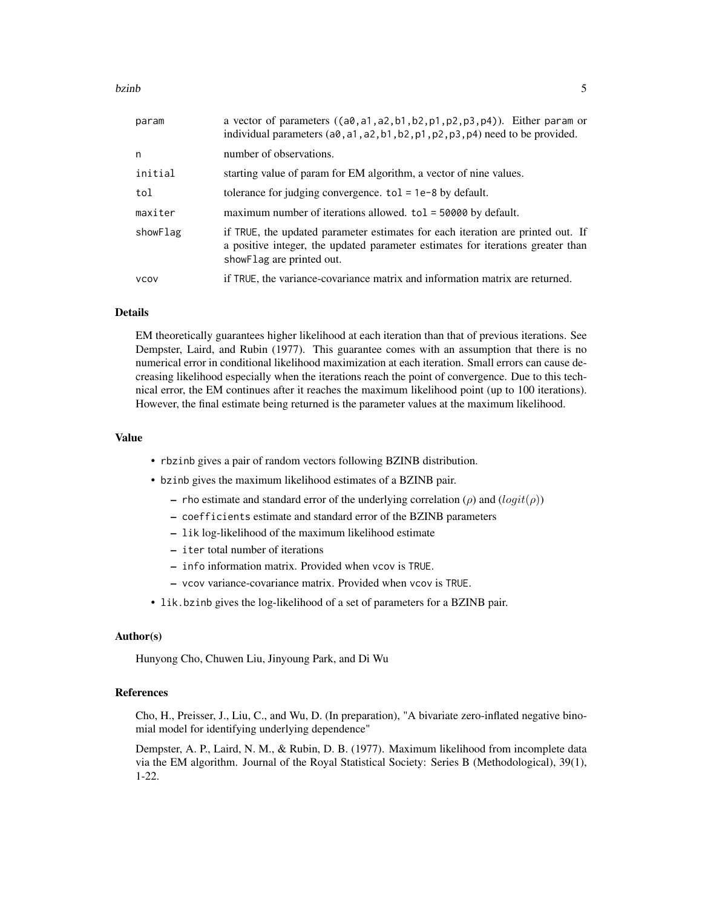#### bzinb 5

| param       | a vector of parameters $((a0, a1, a2, b1, b2, p1, p2, p3, p4))$ . Either param or<br>individual parameters (a0, a1, a2, b1, b2, p1, p2, p3, p4) need to be provided.                             |
|-------------|--------------------------------------------------------------------------------------------------------------------------------------------------------------------------------------------------|
| n           | number of observations.                                                                                                                                                                          |
| initial     | starting value of param for EM algorithm, a vector of nine values.                                                                                                                               |
| tol         | tolerance for judging convergence. $tol = 1e-8$ by default.                                                                                                                                      |
| maxiter     | maximum number of iterations allowed. tol = 50000 by default.                                                                                                                                    |
| showFlag    | if TRUE, the updated parameter estimates for each iteration are printed out. If<br>a positive integer, the updated parameter estimates for iterations greater than<br>show Flag are printed out. |
| <b>VCOV</b> | if TRUE, the variance-covariance matrix and information matrix are returned.                                                                                                                     |

#### Details

EM theoretically guarantees higher likelihood at each iteration than that of previous iterations. See Dempster, Laird, and Rubin (1977). This guarantee comes with an assumption that there is no numerical error in conditional likelihood maximization at each iteration. Small errors can cause decreasing likelihood especially when the iterations reach the point of convergence. Due to this technical error, the EM continues after it reaches the maximum likelihood point (up to 100 iterations). However, the final estimate being returned is the parameter values at the maximum likelihood.

#### Value

- rbzinb gives a pair of random vectors following BZINB distribution.
- bzinb gives the maximum likelihood estimates of a BZINB pair.
	- rho estimate and standard error of the underlying correlation ( $\rho$ ) and  $(logit(\rho))$
	- coefficients estimate and standard error of the BZINB parameters
	- lik log-likelihood of the maximum likelihood estimate
	- iter total number of iterations
	- info information matrix. Provided when vcov is TRUE.
	- vcov variance-covariance matrix. Provided when vcov is TRUE.
- lik.bzinb gives the log-likelihood of a set of parameters for a BZINB pair.

#### Author(s)

Hunyong Cho, Chuwen Liu, Jinyoung Park, and Di Wu

#### References

Cho, H., Preisser, J., Liu, C., and Wu, D. (In preparation), "A bivariate zero-inflated negative binomial model for identifying underlying dependence"

Dempster, A. P., Laird, N. M., & Rubin, D. B. (1977). Maximum likelihood from incomplete data via the EM algorithm. Journal of the Royal Statistical Society: Series B (Methodological), 39(1), 1-22.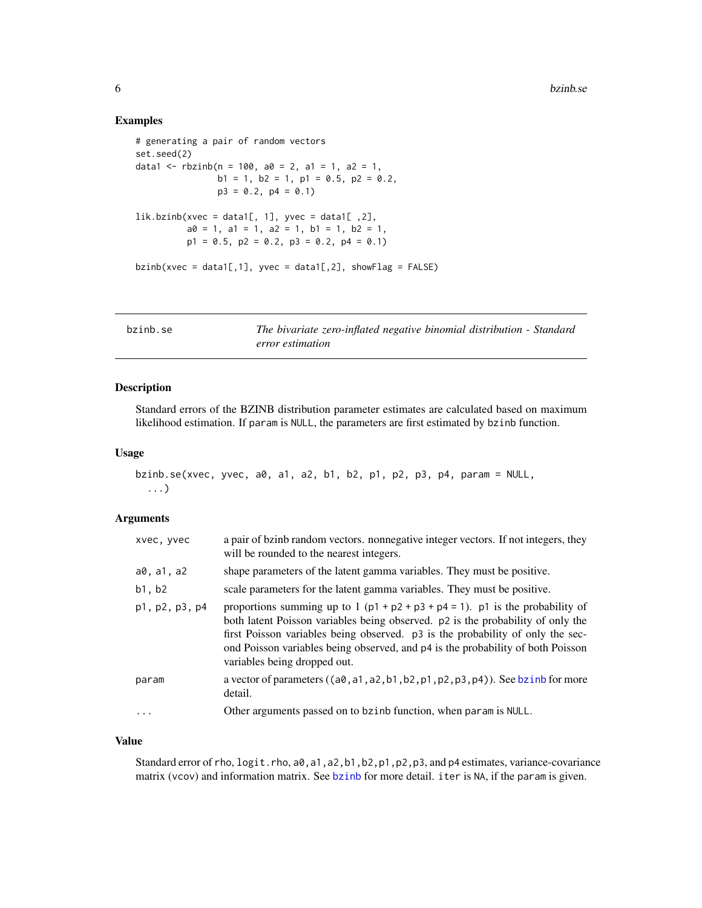#### <span id="page-5-0"></span>Examples

```
# generating a pair of random vectors
set.seed(2)
data1 <- rbzinb(n = 100, a0 = 2, a1 = 1, a2 = 1,b1 = 1, b2 = 1, p1 = 0.5, p2 = 0.2,
               p3 = 0.2, p4 = 0.1lik.bzinb(xvec = data1[, 1], yvec = data1[, 2],
         a0 = 1, a1 = 1, a2 = 1, b1 = 1, b2 = 1,
         p1 = 0.5, p2 = 0.2, p3 = 0.2, p4 = 0.1bzinb(xvec = data1[,1], yvec = data1[,2], showFlag = FALSE)
```

| bzinb.se | The bivariate zero-inflated negative binomial distribution - Standard |
|----------|-----------------------------------------------------------------------|
|          | error estimation                                                      |

#### Description

Standard errors of the BZINB distribution parameter estimates are calculated based on maximum likelihood estimation. If param is NULL, the parameters are first estimated by bzinb function.

#### Usage

```
bzinb.se(xvec, yvec, a0, a1, a2, b1, b2, p1, p2, p3, p4, param = NULL,
  ...)
```
#### Arguments

| xvec, yvec     | a pair of bzinb random vectors. nonnegative integer vectors. If not integers, they<br>will be rounded to the nearest integers.                                                                                                                                                                                                                                              |
|----------------|-----------------------------------------------------------------------------------------------------------------------------------------------------------------------------------------------------------------------------------------------------------------------------------------------------------------------------------------------------------------------------|
| a0, a1, a2     | shape parameters of the latent gamma variables. They must be positive.                                                                                                                                                                                                                                                                                                      |
| b1, b2         | scale parameters for the latent gamma variables. They must be positive.                                                                                                                                                                                                                                                                                                     |
| p1, p2, p3, p4 | proportions summing up to 1 ( $p1 + p2 + p3 + p4 = 1$ ). p1 is the probability of<br>both latent Poisson variables being observed. p2 is the probability of only the<br>first Poisson variables being observed. p3 is the probability of only the sec-<br>ond Poisson variables being observed, and $p4$ is the probability of both Poisson<br>variables being dropped out. |
| param          | a vector of parameters $((a\emptyset, a1, a2, b1, b2, p1, p2, p3, p4))$ . See bzinb for more<br>detail.                                                                                                                                                                                                                                                                     |
| $\ddotsc$      | Other arguments passed on to bzinb function, when param is NULL.                                                                                                                                                                                                                                                                                                            |
|                |                                                                                                                                                                                                                                                                                                                                                                             |

#### Value

Standard error of rho, logit.rho, a0, a1, a2, b1, b2, p1, p2, p3, and p4 estimates, variance-covariance matrix (vcov) and information matrix. See [bzinb](#page-3-1) for more detail. iter is NA, if the param is given.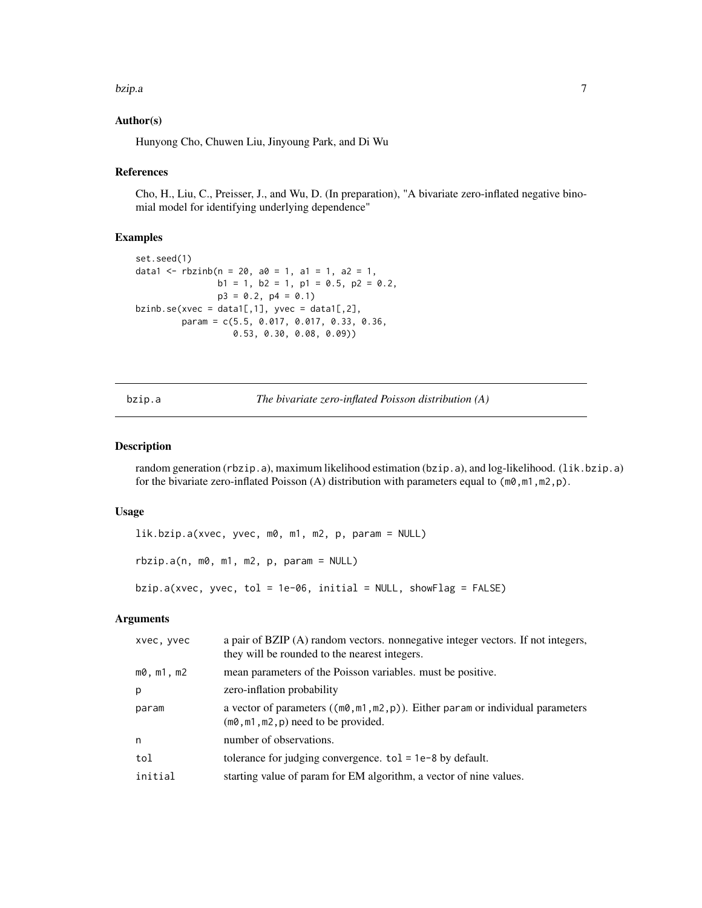#### <span id="page-6-0"></span>bzip.a 7

#### Author(s)

Hunyong Cho, Chuwen Liu, Jinyoung Park, and Di Wu

#### References

Cho, H., Liu, C., Preisser, J., and Wu, D. (In preparation), "A bivariate zero-inflated negative binomial model for identifying underlying dependence"

#### Examples

```
set.seed(1)
data1 <- rbzinb(n = 20, a0 = 1, a1 = 1, a2 = 1,b1 = 1, b2 = 1, p1 = 0.5, p2 = 0.2,
                p3 = 0.2, p4 = 0.1)
bzinb.se(xvec = data1[,1], yvec = data1[,2],
        param = c(5.5, 0.017, 0.017, 0.33, 0.36,
                  0.53, 0.30, 0.08, 0.09))
```
bzip.a *The bivariate zero-inflated Poisson distribution (A)*

#### Description

random generation (rbzip.a), maximum likelihood estimation (bzip.a), and log-likelihood. (lik.bzip.a) for the bivariate zero-inflated Poisson (A) distribution with parameters equal to  $(m0, m1, m2, p)$ .

#### Usage

```
lik.bzip.a(xvec, yvec, m0, m1, m2, p, param = NULL)
rbzip.a(n, m0, m1, m2, p, param = NULL)
bzip.a(xvec, yvec, tol = 1e-06, initial = NULL, showFlag = FALSE)
```
#### Arguments

| xvec, yvec    | a pair of BZIP (A) random vectors. nonnegative integer vectors. If not integers,<br>they will be rounded to the nearest integers.         |
|---------------|-------------------------------------------------------------------------------------------------------------------------------------------|
| $m0$ , m1, m2 | mean parameters of the Poisson variables. must be positive.                                                                               |
| p             | zero-inflation probability                                                                                                                |
| param         | a vector of parameters $((m\theta, m1, m2, p))$ . Either param or individual parameters<br>$(m\emptyset, m1, m2, p)$ need to be provided. |
| n             | number of observations.                                                                                                                   |
| tol           | tolerance for judging convergence. $tol = 1e-8$ by default.                                                                               |
| initial       | starting value of param for EM algorithm, a vector of nine values.                                                                        |
|               |                                                                                                                                           |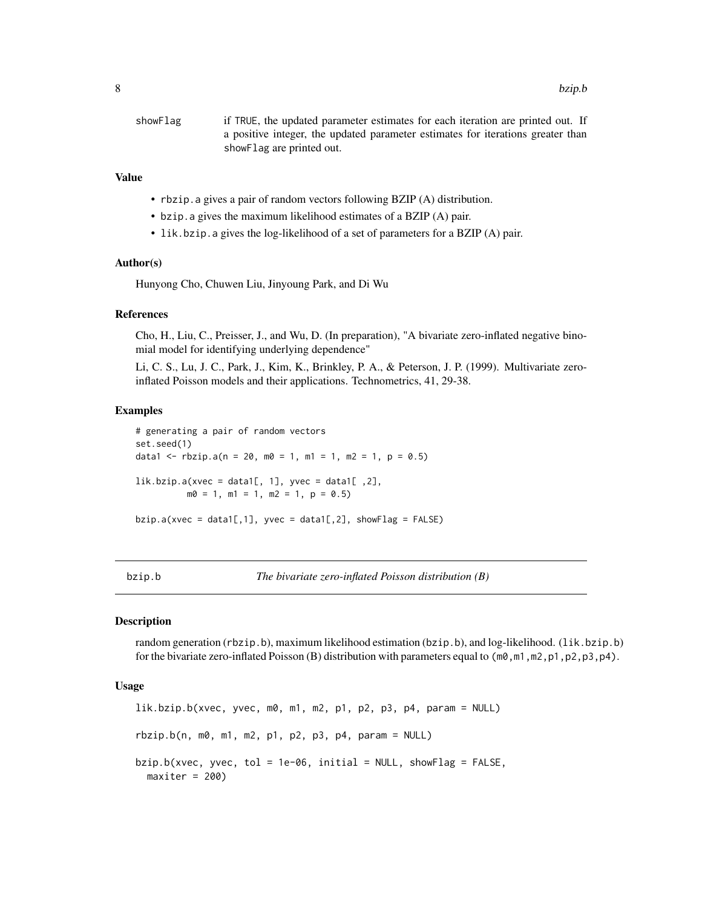<span id="page-7-0"></span>

| showFlag | if TRUE, the updated parameter estimates for each iteration are printed out. If |
|----------|---------------------------------------------------------------------------------|
|          | a positive integer, the updated parameter estimates for iterations greater than |
|          | show Flag are printed out.                                                      |

#### Value

- rbzip.a gives a pair of random vectors following BZIP (A) distribution.
- bzip.a gives the maximum likelihood estimates of a BZIP (A) pair.
- lik.bzip.a gives the log-likelihood of a set of parameters for a BZIP (A) pair.

#### Author(s)

Hunyong Cho, Chuwen Liu, Jinyoung Park, and Di Wu

#### References

Cho, H., Liu, C., Preisser, J., and Wu, D. (In preparation), "A bivariate zero-inflated negative binomial model for identifying underlying dependence"

Li, C. S., Lu, J. C., Park, J., Kim, K., Brinkley, P. A., & Peterson, J. P. (1999). Multivariate zeroinflated Poisson models and their applications. Technometrics, 41, 29-38.

#### Examples

```
# generating a pair of random vectors
set.seed(1)
data1 <- rbzip.a(n = 20, m0 = 1, m1 = 1, m2 = 1, p = 0.5)
lik.bzip.a(xvec = data1[, 1], yvec = data1[, 2],
         m0 = 1, m1 = 1, m2 = 1, p = 0.5)
```
bzip.a(xvec = data1[,1], yvec = data1[,2], showFlag = FALSE)

bzip.b *The bivariate zero-inflated Poisson distribution (B)*

#### Description

random generation (rbzip.b), maximum likelihood estimation (bzip.b), and log-likelihood. (lik.bzip.b) for the bivariate zero-inflated Poisson (B) distribution with parameters equal to  $(m\theta, m1, m2, p1, p2, p3, p4)$ .

#### Usage

```
lik.bzip.b(xvec, yvec, m0, m1, m2, p1, p2, p3, p4, param = NULL)
rbzip.b(n, m0, m1, m2, p1, p2, p3, p4, param = NULL)bzip.b(xvec, yvec, tol = 1e-06, initial = NULL, showFlag = FALSE,
 maxiter = 200
```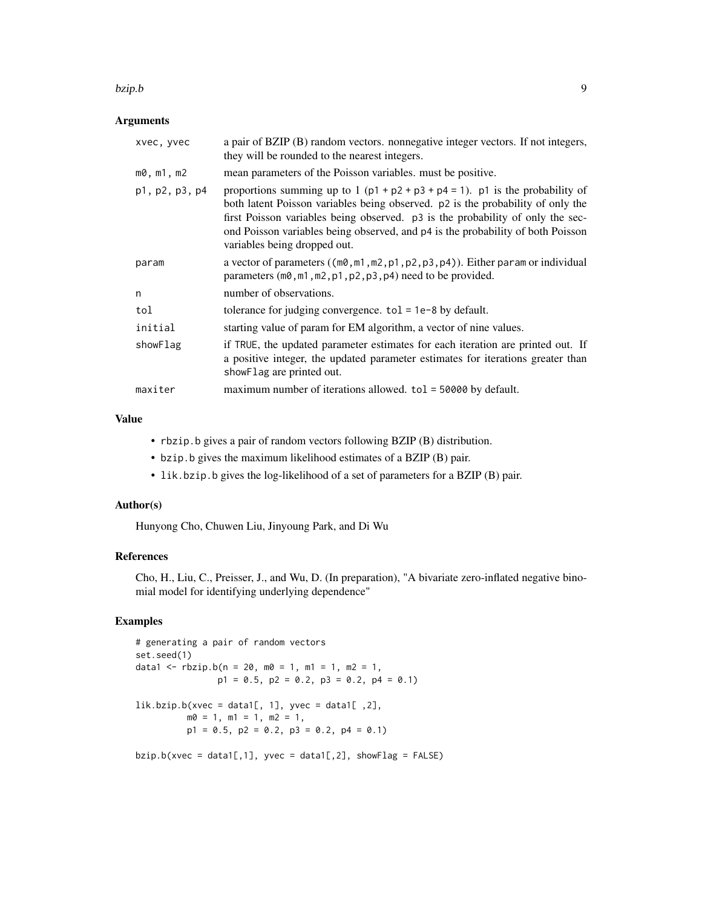#### bzip.b 9

#### Arguments

| xvec, yvec         | a pair of BZIP (B) random vectors. nonnegative integer vectors. If not integers,<br>they will be rounded to the nearest integers.                                                                                                                                                                                                                                         |
|--------------------|---------------------------------------------------------------------------------------------------------------------------------------------------------------------------------------------------------------------------------------------------------------------------------------------------------------------------------------------------------------------------|
| $m0$ , $m1$ , $m2$ | mean parameters of the Poisson variables. must be positive.                                                                                                                                                                                                                                                                                                               |
| p1, p2, p3, p4     | proportions summing up to 1 ( $p1 + p2 + p3 + p4 = 1$ ). p1 is the probability of<br>both latent Poisson variables being observed. p2 is the probability of only the<br>first Poisson variables being observed. p3 is the probability of only the sec-<br>ond Poisson variables being observed, and p4 is the probability of both Poisson<br>variables being dropped out. |
| param              | a vector of parameters $((m\emptyset, m1, m2, p1, p2, p3, p4))$ . Either param or individual<br>parameters $(m\theta, m1, m2, p1, p2, p3, p4)$ need to be provided.                                                                                                                                                                                                       |
| n                  | number of observations.                                                                                                                                                                                                                                                                                                                                                   |
| tol                | tolerance for judging convergence. $tol = 1e-8$ by default.                                                                                                                                                                                                                                                                                                               |
| initial            | starting value of param for EM algorithm, a vector of nine values.                                                                                                                                                                                                                                                                                                        |
| showFlag           | if TRUE, the updated parameter estimates for each iteration are printed out. If<br>a positive integer, the updated parameter estimates for iterations greater than<br>showFlag are printed out.                                                                                                                                                                           |
| maxiter            | maximum number of iterations allowed. $tol = 50000$ by default.                                                                                                                                                                                                                                                                                                           |

#### Value

- rbzip.b gives a pair of random vectors following BZIP (B) distribution.
- bzip.b gives the maximum likelihood estimates of a BZIP (B) pair.
- lik.bzip.b gives the log-likelihood of a set of parameters for a BZIP (B) pair.

#### Author(s)

Hunyong Cho, Chuwen Liu, Jinyoung Park, and Di Wu

### References

Cho, H., Liu, C., Preisser, J., and Wu, D. (In preparation), "A bivariate zero-inflated negative binomial model for identifying underlying dependence"

#### Examples

```
# generating a pair of random vectors
set.seed(1)
data1 <- rbzip.b(n = 20, m0 = 1, m1 = 1, m2 = 1,p1 = 0.5, p2 = 0.2, p3 = 0.2, p4 = 0.1)
lik.bzip.b(xvec = data1[, 1], yvec = data1[, 2],m0 = 1, m1 = 1, m2 = 1,
         p1 = 0.5, p2 = 0.2, p3 = 0.2, p4 = 0.1)
bzip.b(xvec = data1[,1], yvec = data1[,2], showFlag = FALSE)
```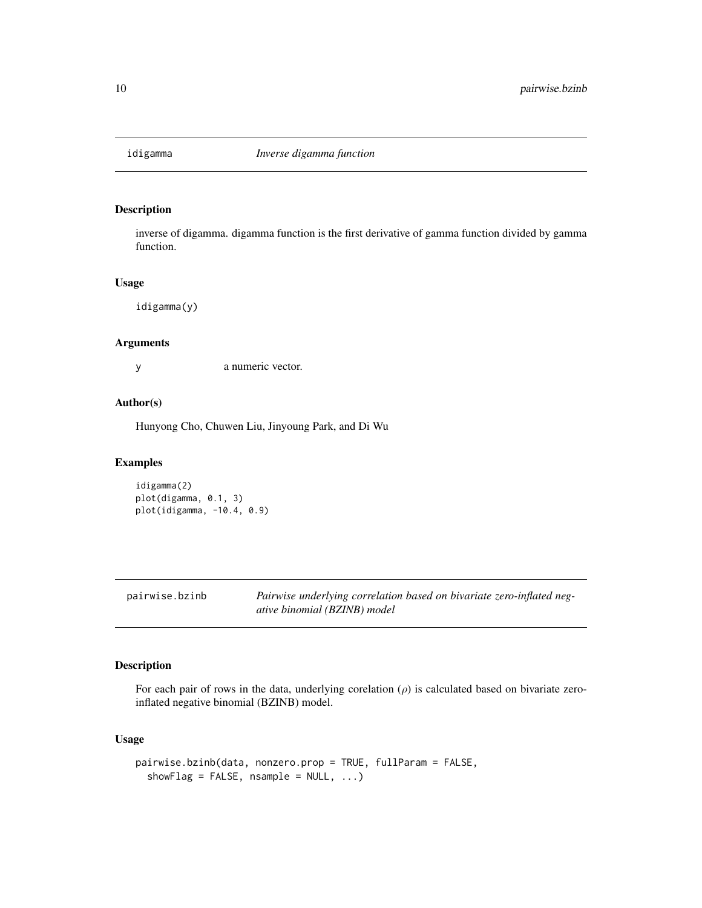<span id="page-9-0"></span>

#### Description

inverse of digamma. digamma function is the first derivative of gamma function divided by gamma function.

#### Usage

idigamma(y)

#### Arguments

y a numeric vector.

#### Author(s)

Hunyong Cho, Chuwen Liu, Jinyoung Park, and Di Wu

#### Examples

```
idigamma(2)
plot(digamma, 0.1, 3)
plot(idigamma, -10.4, 0.9)
```

| pairwise.bzinb | Pairwise underlying correlation based on bivariate zero-inflated neg- |
|----------------|-----------------------------------------------------------------------|
|                | ative binomial (BZINB) model                                          |

#### Description

For each pair of rows in the data, underlying corelation  $(\rho)$  is calculated based on bivariate zeroinflated negative binomial (BZINB) model.

#### Usage

```
pairwise.bzinb(data, nonzero.prop = TRUE, fullParam = FALSE,
  showFlag = FALSE, nsample = NULL, ...
```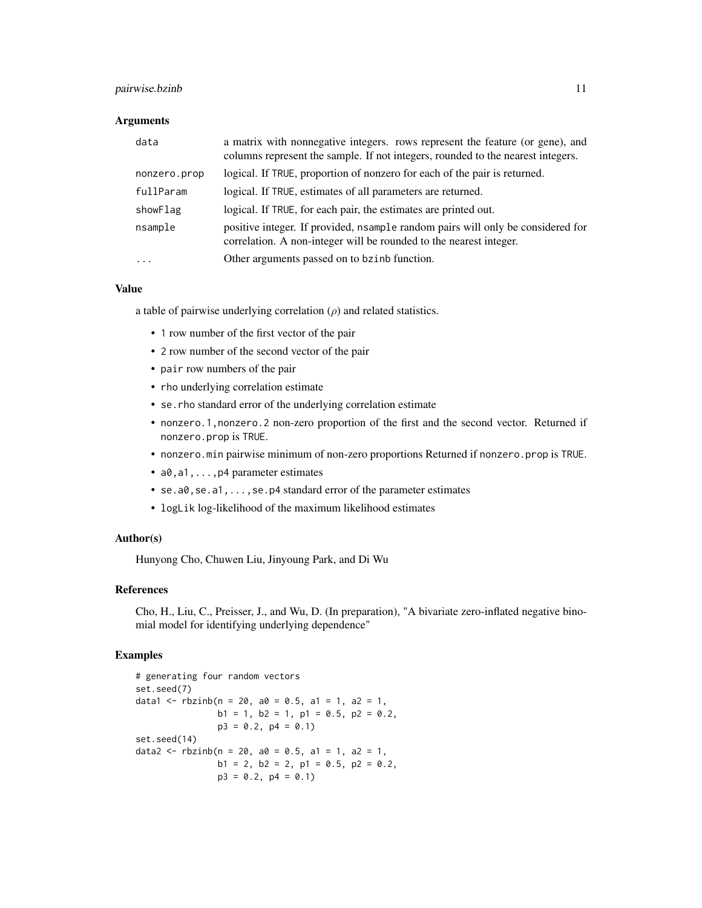#### pairwise.bzinb 11

#### **Arguments**

| data                | a matrix with nonnegative integers. rows represent the feature (or gene), and<br>columns represent the sample. If not integers, rounded to the nearest integers. |
|---------------------|------------------------------------------------------------------------------------------------------------------------------------------------------------------|
| nonzero.prop        | logical. If TRUE, proportion of nonzero for each of the pair is returned.                                                                                        |
| fullParam           | logical. If TRUE, estimates of all parameters are returned.                                                                                                      |
| showFlag            | logical. If TRUE, for each pair, the estimates are printed out.                                                                                                  |
| nsample             | positive integer. If provided, nsample random pairs will only be considered for<br>correlation. A non-integer will be rounded to the nearest integer.            |
| $\cdot \cdot \cdot$ | Other arguments passed on to bzinb function.                                                                                                                     |

#### Value

a table of pairwise underlying correlation  $(\rho)$  and related statistics.

- 1 row number of the first vector of the pair
- 2 row number of the second vector of the pair
- pair row numbers of the pair
- rho underlying correlation estimate
- se.rho standard error of the underlying correlation estimate
- nonzero.1,nonzero.2 non-zero proportion of the first and the second vector. Returned if nonzero.prop is TRUE.
- nonzero.min pairwise minimum of non-zero proportions Returned if nonzero.prop is TRUE.
- a0, a1, . . . , p4 parameter estimates
- se.a0, se.a1, ..., se. p4 standard error of the parameter estimates
- logLik log-likelihood of the maximum likelihood estimates

#### Author(s)

Hunyong Cho, Chuwen Liu, Jinyoung Park, and Di Wu

#### References

Cho, H., Liu, C., Preisser, J., and Wu, D. (In preparation), "A bivariate zero-inflated negative binomial model for identifying underlying dependence"

#### Examples

```
# generating four random vectors
set.seed(7)
data1 <- rbzinb(n = 20, a0 = 0.5, a1 = 1, a2 = 1,b1 = 1, b2 = 1, p1 = 0.5, p2 = 0.2,
               p3 = 0.2, p4 = 0.1set.seed(14)
data2 <- rbzinb(n = 20, a0 = 0.5, a1 = 1, a2 = 1,b1 = 2, b2 = 2, p1 = 0.5, p2 = 0.2,
               p3 = 0.2, p4 = 0.1)
```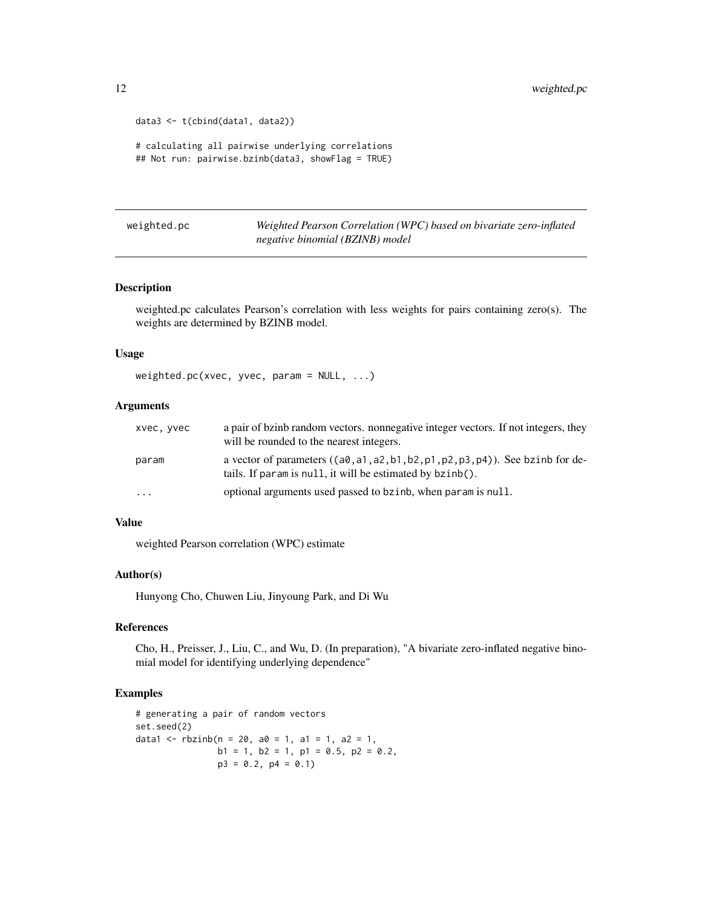```
data3 <- t(cbind(data1, data2))
# calculating all pairwise underlying correlations
## Not run: pairwise.bzinb(data3, showFlag = TRUE)
```
weighted.pc *Weighted Pearson Correlation (WPC) based on bivariate zero-inflated negative binomial (BZINB) model*

#### Description

weighted.pc calculates Pearson's correlation with less weights for pairs containing zero(s). The weights are determined by BZINB model.

#### Usage

weighted.pc(xvec, yvec, param = NULL, ...)

#### Arguments

| xvec, vvec | a pair of bzinb random vectors. nonnegative integer vectors. If not integers, they<br>will be rounded to the nearest integers.                   |
|------------|--------------------------------------------------------------------------------------------------------------------------------------------------|
| param      | a vector of parameters $((a0, a1, a2, b1, b2, p1, p2, p3, p4))$ . See bzinb for de-<br>tails. If param is null, it will be estimated by bzinb(). |
| $\ddotsc$  | optional arguments used passed to bzinb, when param is null.                                                                                     |

#### Value

weighted Pearson correlation (WPC) estimate

#### Author(s)

Hunyong Cho, Chuwen Liu, Jinyoung Park, and Di Wu

#### References

Cho, H., Preisser, J., Liu, C., and Wu, D. (In preparation), "A bivariate zero-inflated negative binomial model for identifying underlying dependence"

#### Examples

```
# generating a pair of random vectors
set.seed(2)
data1 <- rbzinh(n = 20, a0 = 1, a1 = 1, a2 = 1,b1 = 1, b2 = 1, p1 = 0.5, p2 = 0.2,
               p3 = 0.2, p4 = 0.1
```
<span id="page-11-0"></span>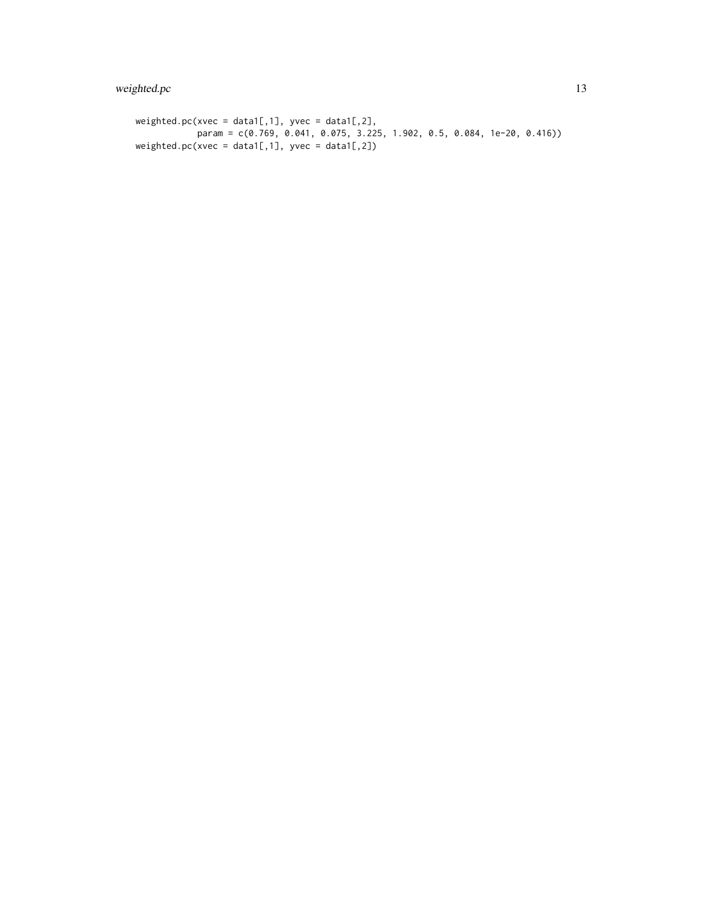```
weighted.pc(xvec = data1[,1], yvec = data1[,2],param = c(0.769, 0.041, 0.075, 3.225, 1.902, 0.5, 0.084, 1e-20, 0.416))
weighted.pc(xvec = data1[,1], yvec = data1[,2])
```